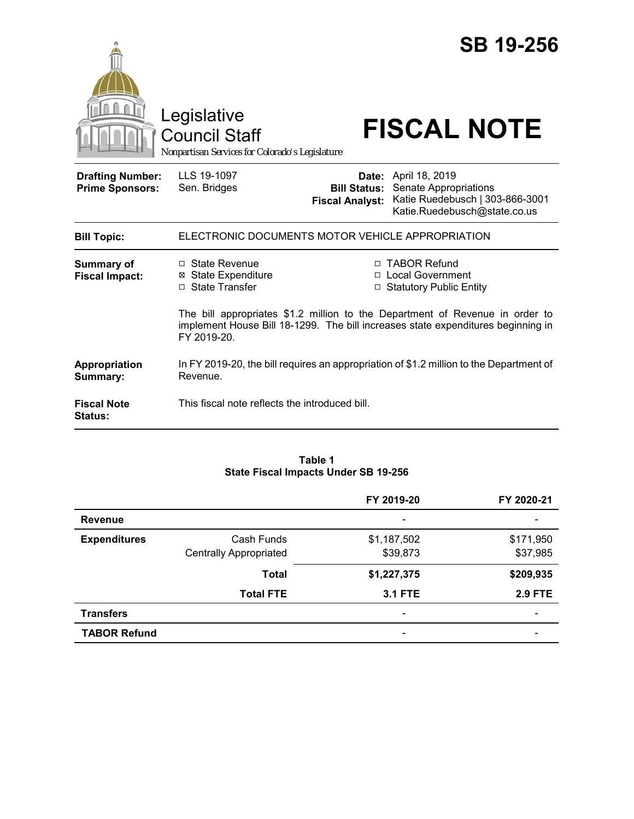|                                                   | Legislative<br><b>Council Staff</b><br>Nonpartisan Services for Colorado's Legislature                                                                                          |                                               | <b>SB 19-256</b><br><b>FISCAL NOTE</b>                                                                                  |  |
|---------------------------------------------------|---------------------------------------------------------------------------------------------------------------------------------------------------------------------------------|-----------------------------------------------|-------------------------------------------------------------------------------------------------------------------------|--|
| <b>Drafting Number:</b><br><b>Prime Sponsors:</b> | LLS 19-1097<br>Sen. Bridges                                                                                                                                                     | <b>Bill Status:</b><br><b>Fiscal Analyst:</b> | <b>Date:</b> April 18, 2019<br>Senate Appropriations<br>Katie Ruedebusch   303-866-3001<br>Katie.Ruedebusch@state.co.us |  |
| <b>Bill Topic:</b>                                | ELECTRONIC DOCUMENTS MOTOR VEHICLE APPROPRIATION                                                                                                                                |                                               |                                                                                                                         |  |
| <b>Summary of</b><br><b>Fiscal Impact:</b>        | □ State Revenue<br><b>⊠</b> State Expenditure<br>□ State Transfer                                                                                                               |                                               | □ TABOR Refund<br>□ Local Government<br><b>Statutory Public Entity</b>                                                  |  |
|                                                   | The bill appropriates \$1.2 million to the Department of Revenue in order to<br>implement House Bill 18-1299. The bill increases state expenditures beginning in<br>FY 2019-20. |                                               |                                                                                                                         |  |
| Appropriation<br>Summary:                         | Revenue.                                                                                                                                                                        |                                               | In FY 2019-20, the bill requires an appropriation of \$1.2 million to the Department of                                 |  |
| <b>Fiscal Note</b><br><b>Status:</b>              | This fiscal note reflects the introduced bill.                                                                                                                                  |                                               |                                                                                                                         |  |

#### **Table 1 State Fiscal Impacts Under SB 19-256**

|                     |                               | FY 2019-20                   | FY 2020-21               |
|---------------------|-------------------------------|------------------------------|--------------------------|
| <b>Revenue</b>      |                               | $\overline{\phantom{a}}$     |                          |
| <b>Expenditures</b> | Cash Funds                    | \$1,187,502                  | \$171,950                |
|                     | <b>Centrally Appropriated</b> | \$39,873                     | \$37,985                 |
|                     | <b>Total</b>                  | \$1,227,375                  | \$209,935                |
|                     | <b>Total FTE</b>              | <b>3.1 FTE</b>               | <b>2.9 FTE</b>           |
| <b>Transfers</b>    |                               | $\qquad \qquad \blacksquare$ | $\overline{\phantom{0}}$ |
| <b>TABOR Refund</b> |                               |                              |                          |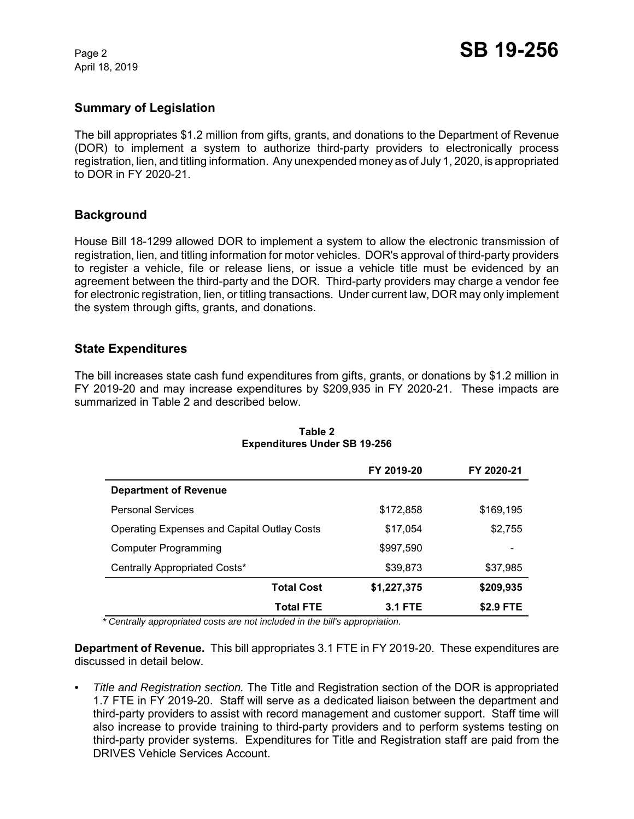April 18, 2019

## **Summary of Legislation**

The bill appropriates \$1.2 million from gifts, grants, and donations to the Department of Revenue (DOR) to implement a system to authorize third-party providers to electronically process registration, lien, and titling information. Any unexpended money as of July 1, 2020, is appropriated to DOR in FY 2020-21.

# **Background**

House Bill 18-1299 allowed DOR to implement a system to allow the electronic transmission of registration, lien, and titling information for motor vehicles. DOR's approval of third-party providers to register a vehicle, file or release liens, or issue a vehicle title must be evidenced by an agreement between the third-party and the DOR. Third-party providers may charge a vendor fee for electronic registration, lien, or titling transactions. Under current law, DOR may only implement the system through gifts, grants, and donations.

### **State Expenditures**

The bill increases state cash fund expenditures from gifts, grants, or donations by \$1.2 million in FY 2019-20 and may increase expenditures by \$209,935 in FY 2020-21. These impacts are summarized in Table 2 and described below.

|                                             | FY 2019-20     | FY 2020-21 |
|---------------------------------------------|----------------|------------|
| <b>Department of Revenue</b>                |                |            |
| <b>Personal Services</b>                    | \$172,858      | \$169,195  |
| Operating Expenses and Capital Outlay Costs | \$17,054       | \$2,755    |
| <b>Computer Programming</b>                 | \$997,590      |            |
| Centrally Appropriated Costs*               | \$39,873       | \$37,985   |
| <b>Total Cost</b>                           | \$1,227,375    | \$209,935  |
| <b>Total FTE</b>                            | <b>3.1 FTE</b> | \$2.9 FTE  |

#### **Table 2 Expenditures Under SB 19-256**

 *\* Centrally appropriated costs are not included in the bill's appropriation.*

**Department of Revenue.** This bill appropriates 3.1 FTE in FY 2019-20. These expenditures are discussed in detail below.

*• Title and Registration section.* The Title and Registration section of the DOR is appropriated 1.7 FTE in FY 2019-20. Staff will serve as a dedicated liaison between the department and third-party providers to assist with record management and customer support. Staff time will also increase to provide training to third-party providers and to perform systems testing on third-party provider systems. Expenditures for Title and Registration staff are paid from the DRIVES Vehicle Services Account.